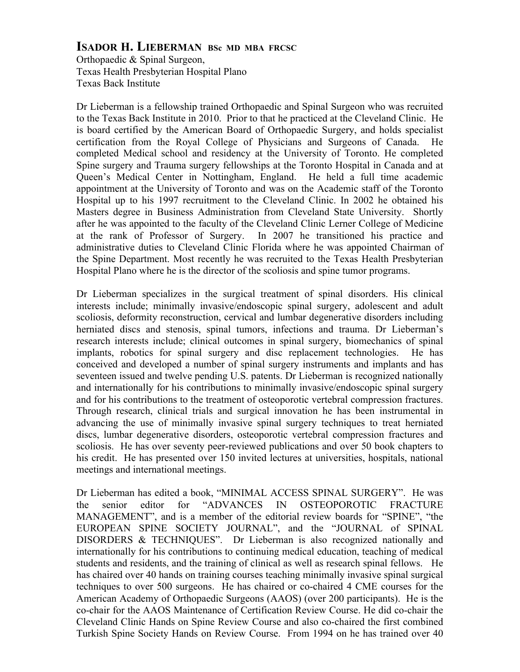## **ISADOR H. LIEBERMAN BSc MD MBA FRCSC**

Orthopaedic & Spinal Surgeon, Texas Health Presbyterian Hospital Plano Texas Back Institute

Dr Lieberman is a fellowship trained Orthopaedic and Spinal Surgeon who was recruited to the Texas Back Institute in 2010. Prior to that he practiced at the Cleveland Clinic. He is board certified by the American Board of Orthopaedic Surgery, and holds specialist certification from the Royal College of Physicians and Surgeons of Canada. He completed Medical school and residency at the University of Toronto. He completed Spine surgery and Trauma surgery fellowships at the Toronto Hospital in Canada and at Queen's Medical Center in Nottingham, England. He held a full time academic appointment at the University of Toronto and was on the Academic staff of the Toronto Hospital up to his 1997 recruitment to the Cleveland Clinic. In 2002 he obtained his Masters degree in Business Administration from Cleveland State University. Shortly after he was appointed to the faculty of the Cleveland Clinic Lerner College of Medicine at the rank of Professor of Surgery. In 2007 he transitioned his practice and administrative duties to Cleveland Clinic Florida where he was appointed Chairman of the Spine Department. Most recently he was recruited to the Texas Health Presbyterian Hospital Plano where he is the director of the scoliosis and spine tumor programs.

Dr Lieberman specializes in the surgical treatment of spinal disorders. His clinical interests include; minimally invasive/endoscopic spinal surgery, adolescent and adult scoliosis, deformity reconstruction, cervical and lumbar degenerative disorders including herniated discs and stenosis, spinal tumors, infections and trauma. Dr Lieberman's research interests include; clinical outcomes in spinal surgery, biomechanics of spinal implants, robotics for spinal surgery and disc replacement technologies. He has conceived and developed a number of spinal surgery instruments and implants and has seventeen issued and twelve pending U.S. patents. Dr Lieberman is recognized nationally and internationally for his contributions to minimally invasive/endoscopic spinal surgery and for his contributions to the treatment of osteoporotic vertebral compression fractures. Through research, clinical trials and surgical innovation he has been instrumental in advancing the use of minimally invasive spinal surgery techniques to treat herniated discs, lumbar degenerative disorders, osteoporotic vertebral compression fractures and scoliosis. He has over seventy peer-reviewed publications and over 50 book chapters to his credit. He has presented over 150 invited lectures at universities, hospitals, national meetings and international meetings.

Dr Lieberman has edited a book, "MINIMAL ACCESS SPINAL SURGERY". He was the senior editor for "ADVANCES IN OSTEOPOROTIC FRACTURE MANAGEMENT", and is a member of the editorial review boards for "SPINE", "the EUROPEAN SPINE SOCIETY JOURNAL", and the "JOURNAL of SPINAL DISORDERS & TECHNIQUES". Dr Lieberman is also recognized nationally and internationally for his contributions to continuing medical education, teaching of medical students and residents, and the training of clinical as well as research spinal fellows. He has chaired over 40 hands on training courses teaching minimally invasive spinal surgical techniques to over 500 surgeons. He has chaired or co-chaired 4 CME courses for the American Academy of Orthopaedic Surgeons (AAOS) (over 200 participants). He is the co-chair for the AAOS Maintenance of Certification Review Course. He did co-chair the Cleveland Clinic Hands on Spine Review Course and also co-chaired the first combined Turkish Spine Society Hands on Review Course. From 1994 on he has trained over 40